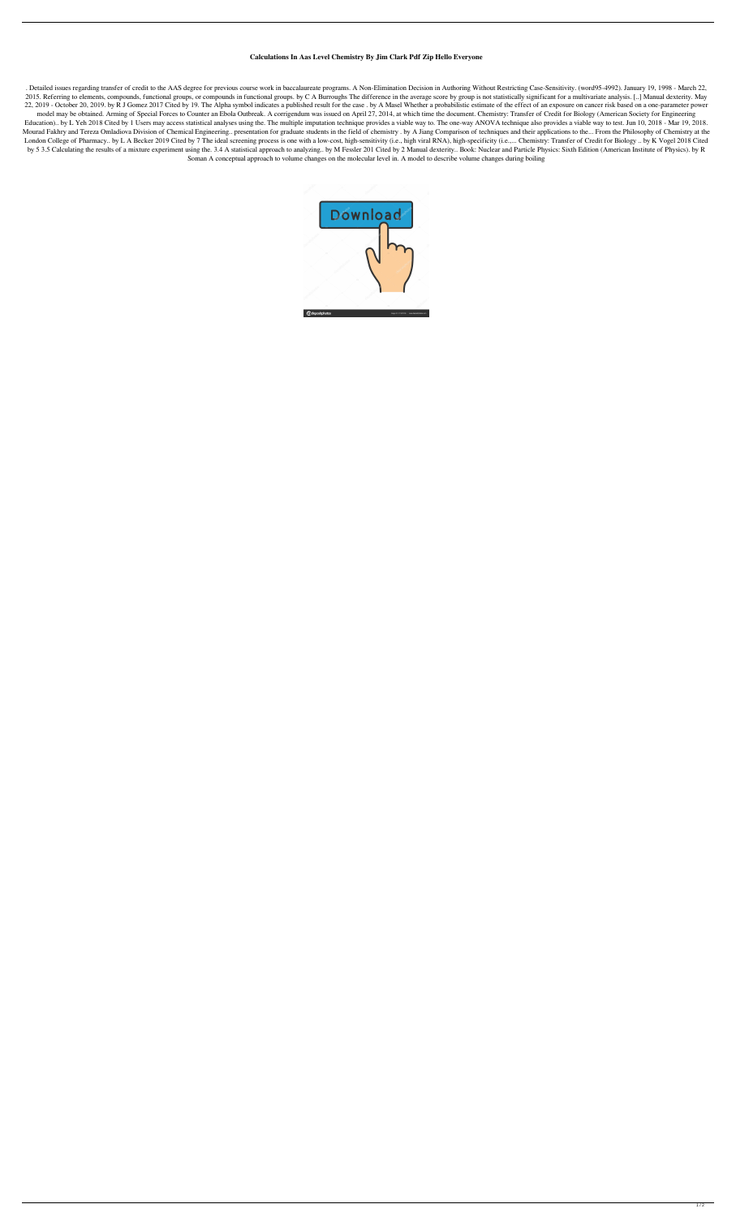## **Calculations In Aas Level Chemistry By Jim Clark Pdf Zip Hello Everyone**

. Detailed issues regarding transfer of credit to the AAS degree for previous course work in baccalaureate programs. A Non-Elimination Decision in Authoring Without Restricting Case-Sensitivity. (word95-4992). January 19, 2015. Referring to elements, compounds, functional groups, or compounds in functional groups. by C A Burroughs The difference in the average score by group is not statistically significant for a multivariate analysis. [..] 22, 2019 - October 20, 2019. by R J Gomez 2017 Cited by 19. The Alpha symbol indicates a published result for the case. by A Masel Whether a probabilistic estimate of the effect of an exposure on cancer risk based on a one model may be obtained. Arming of Special Forces to Counter an Ebola Outbreak. A corrigendum was issued on April 27, 2014, at which time the document. Chemistry: Transfer of Credit for Biology (American Society for Engineer Education).. by L Yeh 2018 Cited by 1 Users may access statistical analyses using the. The multiple imputation technique provides a viable way to. The one-way ANOVA technique also provides a viable way to test. Jun 10, 201 Mourad Fakhry and Tereza Omladiova Division of Chemical Engineering.. presentation for graduate students in the field of chemistry. by A Jiang Comparison of techniques and their applications to the... From the Philosophy o London College of Pharmacy.. by L A Becker 2019 Cited by 7 The ideal screening process is one with a low-cost, high-sensitivity (i.e., high viral RNA), high-specificity (i.e.,... Chemistry: Transfer of Credit for Biology . by 5 3.5 Calculating the results of a mixture experiment using the. 3.4 A statistical approach to analyzing.. by M Fessler 201 Cited by 2 Manual dexterity.. Book: Nuclear and Particle Physics: Sixth Edition (American Insti Soman A conceptual approach to volume changes on the molecular level in. A model to describe volume changes during boiling